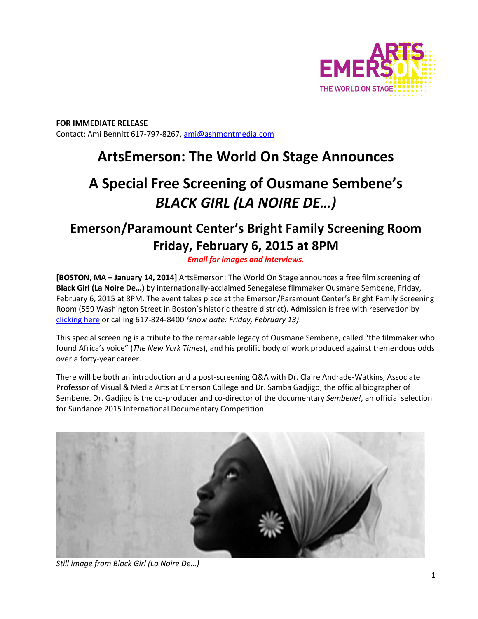

**FOR IMMEDIATE RELEASE**  Contact: Ami Bennitt 617‐797‐8267, ami@ashmontmedia.com

# **ArtsEmerson: The World On Stage Announces**

# **A Special Free Screening of Ousmane Sembene's** *BLACK GIRL (LA NOIRE DE…)*

# **Emerson/Paramount Center's Bright Family Screening Room Friday, February 6, 2015 at 8PM**

*Email for images and interviews.*

**[BOSTON, MA – January 14, 2014]** ArtsEmerson: The World On Stage announces a free film screening of **Black Girl (La Noire De…)** by internationally‐acclaimed Senegalese filmmaker Ousmane Sembene, Friday, February 6, 2015 at 8PM. The event takes place at the Emerson/Paramount Center's Bright Family Screening Room (559 Washington Street in Boston's historic theatre district). Admission is free with reservation by clicking here or calling 617‐824‐8400 *(snow date: Friday, February 13)*.

This special screening is a tribute to the remarkable legacy of Ousmane Sembene, called "the filmmaker who found Africa's voice" (*The New York Times*), and his prolific body of work produced against tremendous odds over a forty‐year career.

There will be both an introduction and a post‐screening Q&A with Dr. Claire Andrade‐Watkins, Associate Professor of Visual & Media Arts at Emerson College and Dr. Samba Gadjigo, the official biographer of Sembene. Dr. Gadjigo is the co‐producer and co‐director of the documentary *Sembene!*, an official selection for Sundance 2015 International Documentary Competition.



*Still image from Black Girl (La Noire De…)*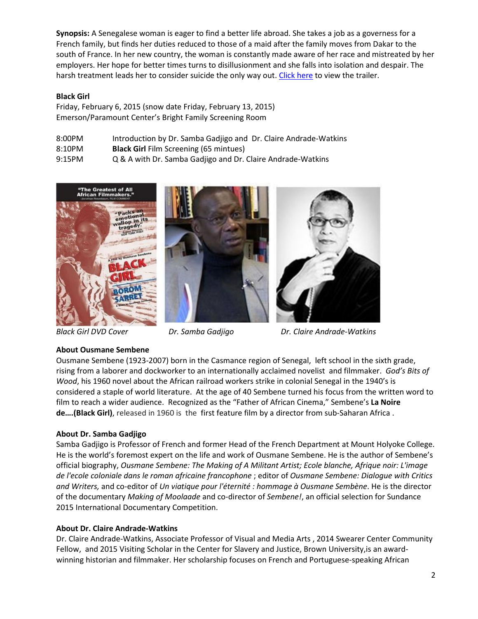**Synopsis:** A Senegalese woman is eager to find a better life abroad. She takes a job as a governess for a French family, but finds her duties reduced to those of a maid after the family moves from Dakar to the south of France. In her new country, the woman is constantly made aware of her race and mistreated by her employers. Her hope for better times turns to disillusionment and she falls into isolation and despair. The harsh treatment leads her to consider suicide the only way out. Click here to view the trailer.

## **Black Girl**

Friday, February 6, 2015 (snow date Friday, February 13, 2015) Emerson/Paramount Center's Bright Family Screening Room

| 8:00PM | Introduction by Dr. Samba Gadjigo and Dr. Claire Andrade-Watkins |
|--------|------------------------------------------------------------------|
| 8:10PM | <b>Black Girl</b> Film Screening (65 mintues)                    |
| 9:15PM | Q & A with Dr. Samba Gadjigo and Dr. Claire Andrade-Watkins      |



*Black Girl DVD Cover Dr. Samba Gadjigo Dr. Claire Andrade-Watkins*

#### **About Ousmane Sembene**

Ousmane Sembene (1923‐2007) born in the Casmance region of Senegal, left school in the sixth grade, rising from a laborer and dockworker to an internationally acclaimed novelist and filmmaker. *God's Bits of Wood*, his 1960 novel about the African railroad workers strike in colonial Senegal in the 1940's is considered a staple of world literature. At the age of 40 Sembene turned his focus from the written word to film to reach a wider audience. Recognized as the "Father of African Cinema," Sembene's **La Noire de….(Black Girl)**, released in 1960 is the first feature film by a director from sub‐Saharan Africa .

#### **About Dr. Samba Gadjigo**

Samba Gadjigo is Professor of French and former Head of the French Department at Mount Holyoke College. He is the world's foremost expert on the life and work of Ousmane Sembene. He is the author of Sembene's official biography, *Ousmane Sembene: The Making of A Militant Artist; Ecole blanche, Afrique noir: L'image de l'ecole coloniale dans le roman africaine francophone* ; editor of *Ousmane Sembene: Dialogue with Critics and Writers,* and co‐editor of *Un viatique pour l'éternité : hommage à Ousmane Sembène*. He is the director of the documentary *Making of Moolaade* and co‐director of *Sembene!*, an official selection for Sundance 2015 International Documentary Competition.

#### **About Dr. Claire Andrade-Watkins**

Dr. Claire Andrade‐Watkins, Associate Professor of Visual and Media Arts , 2014 Swearer Center Community Fellow, and 2015 Visiting Scholar in the Center for Slavery and Justice, Brown University, is an awardwinning historian and filmmaker. Her scholarship focuses on French and Portuguese‐speaking African